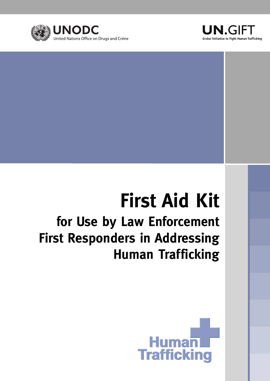



**for Use by Law Enforcement First Responders in Addressing Human Trafficking**



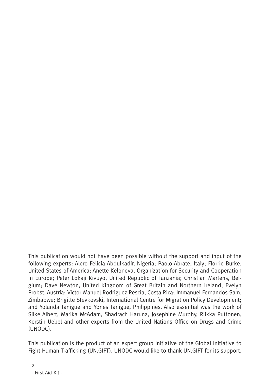This publication would not have been possible without the support and input of the following experts: Alero Felicia Abdulkadir, Nigeria; Paolo Abrate, Italy; Florrie Burke, United States of America; Anette Keloneva, Organization for Security and Cooperation in Europe; Peter Lokaji Kivuyo, United Republic of Tanzania; Christian Martens, Belgium; Dave Newton, United Kingdom of Great Britain and Northern Ireland; Evelyn Probst, Austria; Victor Manuel Rodriguez Rescia, Costa Rica; Immanuel Fernandos Sam, Zimbabwe; Brigitte Stevkovski, International Centre for Migration Policy Development; and Yolanda Tanigue and Yones Tanigue, Philippines. Also essential was the work of Silke Albert, Marika McAdam, Shadrach Haruna, Josephine Murphy, Riikka Puttonen, Kerstin Uebel and other experts from the United Nations Office on Drugs and Crime (UNODC).

This publication is the product of an expert group initiative of the Global Initiative to Fight Human Trafficking (UN.GIFT). UNODC would like to thank UN.GIFT for its support.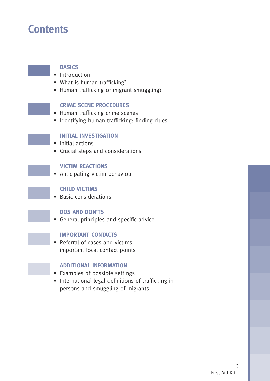# **Contents**

#### **BASICS**

- Introduction
- What is human trafficking?
- Human trafficking or migrant smuggling?

#### **CRIME SCENE PROCEDURES**

- Human trafficking crime scenes
- Identifying human trafficking: finding clues

#### **INITIAL INVESTIGATION**

- Initial actions
- Crucial steps and considerations

#### **VICTIM REACTIONS**

• Anticipating victim behaviour

#### **CHILD VICTIMS**

• Basic considerations

### **DOS AND DON'TS**

• General principles and specific advice

#### **IMPORTANT CONTACTS**

• Referral of cases and victims: important local contact points

#### **ADDITIONAL INFORMATION**

- Examples of possible settings
- International legal definitions of trafficking in persons and smuggling of migrants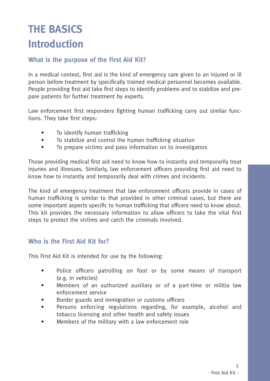# **THE BASICS Introduction**

### **What is the purpose of the First Aid Kit?**

In a medical context, first aid is the kind of emergency care given to an injured or ill person before treatment by specifically trained medical personnel becomes available. People providing first aid take first steps to identify problems and to stabilize and prepare patients for further treatment by experts.

Law enforcement first responders fighting human trafficking carry out similar functions. They take first steps:

- To identify human trafficking
- To stabilize and control the human trafficking situation
- To prepare victims and pass information on to investigators

Those providing medical first aid need to know how to instantly and temporarily treat injuries and illnesses. Similarly, law enforcement officers providing first aid need to know how to instantly and temporarily deal with crimes and incidents.

The kind of emergency treatment that law enforcement officers provide in cases of human trafficking is similar to that provided in other criminal cases, but there are some important aspects specific to human trafficking that officers need to know about. This kit provides the necessary information to allow officers to take the vital first steps to protect the victims and catch the criminals involved.

### **Who is the First Aid Kit for?**

This First Aid Kit is intended for use by the following:

- Police officers patrolling on foot or by some means of transport (e.g. in vehicles)
- Members of an authorized auxiliary or of a part-time or militia law enforcement service
- Border guards and immigration or customs officers
- Persons enforcing regulations regarding, for example, alcohol and tobacco licensing and other health and safety issues
- Members of the military with a law enforcement role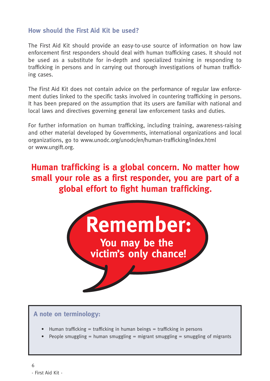### **How should the First Aid Kit be used?**

The First Aid Kit should provide an easy-to-use source of information on how law enforcement first responders should deal with human trafficking cases. It should not be used as a substitute for in-depth and specialized training in responding to trafficking in persons and in carrying out thorough investigations of human trafficking cases.

The First Aid Kit does not contain advice on the performance of regular law enforcement duties linked to the specific tasks involved in countering trafficking in persons. It has been prepared on the assumption that its users are familiar with national and local laws and directives governing general law enforcement tasks and duties.

For further information on human trafficking, including training, awareness-raising and other material developed by Governments, international organizations and local organizations, go to www.unodc.org/unodc/en/human-trafficking/index.html or www.ungift.org.

# **Human trafficking is a global concern. No matter how small your role as a first responder, you are part of a global effort to fight human trafficking.**



### **A note on terminology:**

- Human trafficking = trafficking in human beings = trafficking in persons
- People smuggling = human smuggling = migrant smuggling = smuggling of migrants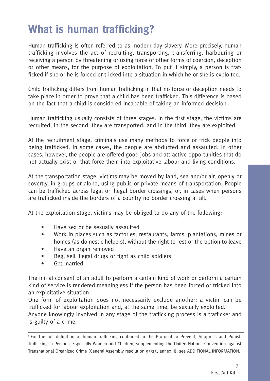# **What is human trafficking?**

Human trafficking is often referred to as modern-day slavery. More precisely, human trafficking involves the act of recruiting, transporting, transferring, harbouring or receiving a person by threatening or using force or other forms of coercion, deception or other means, for the purpose of exploitation. To put it simply, a person is trafficked if she or he is forced or tricked into a situation in which he or she is exploited.<sup>1</sup>

Child trafficking differs from human trafficking in that no force or deception needs to take place in order to prove that a child has been trafficked. This difference is based on the fact that a child is considered incapable of taking an informed decision.

Human trafficking usually consists of three stages. In the first stage, the victims are recruited; in the second, they are transported; and in the third, they are exploited.

At the recruitment stage, criminals use many methods to force or trick people into being trafficked. In some cases, the people are abducted and assaulted. In other cases, however, the people are offered good jobs and attractive opportunities that do not actually exist or that force them into exploitative labour and living conditions.

At the transportation stage, victims may be moved by land, sea and/or air, openly or covertly, in groups or alone, using public or private means of transportation. People can be trafficked across legal or illegal border crossings, or, in cases when persons are trafficked inside the borders of a country no border crossing at all.

At the exploitation stage, victims may be obliged to do any of the following:

- Have sex or be sexually assaulted
- Work in places such as factories, restaurants, farms, plantations, mines or homes (as domestic helpers), without the right to rest or the option to leave
- Have an organ removed
- Beg, sell illegal drugs or fight as child soldiers
- Get married

The initial consent of an adult to perform a certain kind of work or perform a certain kind of service is rendered meaningless if the person has been forced or tricked into an exploitative situation.

One form of exploitation does not necessarily exclude another: a victim can be trafficked for labour exploitation and, at the same time, be sexually exploited.

Anyone knowingly involved in any stage of the trafficking process is a trafficker and is guilty of a crime.

<sup>1</sup> For the full definition of human trafficking contained in the Protocol to Prevent, Suppress and Punish Trafficking in Persons, Especially Women and Children, supplementing the United Nations Convention against Transnational Organized Crime (General Assembly resolution 55/25, annex II), see ADDITIONAL INFORMATION.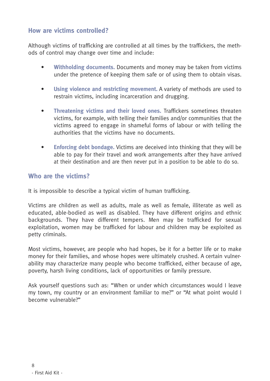### **How are victims controlled?**

Although victims of trafficking are controlled at all times by the traffickers, the methods of control may change over time and include:

- **Withholding documents.** Documents and money may be taken from victims under the pretence of keeping them safe or of using them to obtain visas.
- **Using violence and restricting movement.** A variety of methods are used to restrain victims, including incarceration and drugging.
- **Threatening victims and their loved ones.** Traffickers sometimes threaten victims, for example, with telling their families and/or communities that the victims agreed to engage in shameful forms of labour or with telling the authorities that the victims have no documents.
- **Enforcing debt bondage.** Victims are deceived into thinking that they will be able to pay for their travel and work arrangements after they have arrived at their destination and are then never put in a position to be able to do so.

### **Who are the victims?**

It is impossible to describe a typical victim of human trafficking.

Victims are children as well as adults, male as well as female, illiterate as well as educated, able-bodied as well as disabled. They have different origins and ethnic backgrounds. They have different tempers. Men may be trafficked for sexual exploitation, women may be trafficked for labour and children may be exploited as petty criminals.

Most victims, however, are people who had hopes, be it for a better life or to make money for their families, and whose hopes were ultimately crushed. A certain vulnerability may characterize many people who become trafficked, either because of age, poverty, harsh living conditions, lack of opportunities or family pressure.

Ask yourself questions such as: "When or under which circumstances would I leave my town, my country or an environment familiar to me?" or "At what point would I become vulnerable?"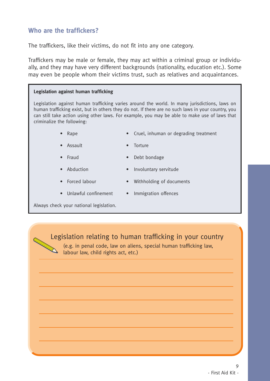### **Who are the traffickers?**

The traffickers, like their victims, do not fit into any one category.

Traffickers may be male or female, they may act within a criminal group or individually, and they may have very different backgrounds (nationality, education etc.). Some may even be people whom their victims trust, such as relatives and acquaintances.

#### **Legislation against human trafficking**

Legislation against human trafficking varies around the world. In many jurisdictions, laws on human trafficking exist, but in others they do not. If there are no such laws in your country, you can still take action using other laws. For example, you may be able to make use of laws that criminalize the following:

- 
- Rape Cruel, inhuman or degrading treatment
- Assault Torture
- Fraud Debt bondage
- Abduction Involuntary servitude
- Forced labour Withholding of documents
- Unlawful confinement Immigration offences

Always check your national legislation.

Legislation relating to human trafficking in your country

(e.g. in penal code, law on aliens, special human trafficking law, labour law, child rights act, etc.)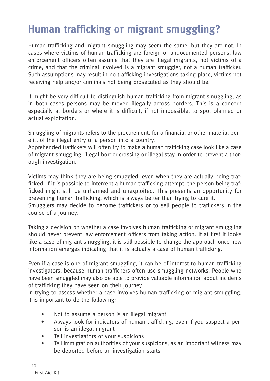# **Human trafficking or migrant smuggling?**

Human trafficking and migrant smuggling may seem the same, but they are not. In cases where victims of human trafficking are foreign or undocumented persons, law enforcement officers often assume that they are illegal migrants, not victims of a crime, and that the criminal involved is a migrant smuggler, not a human trafficker. Such assumptions may result in no trafficking investigations taking place, victims not receiving help and/or criminals not being prosecuted as they should be.

It might be very difficult to distinguish human trafficking from migrant smuggling, as in both cases persons may be moved illegally across borders. This is a concern especially at borders or where it is difficult, if not impossible, to spot planned or actual exploitation.

Smuggling of migrants refers to the procurement, for a financial or other material benefit, of the illegal entry of a person into a country.

Apprehended traffickers will often try to make a human trafficking case look like a case of migrant smuggling, illegal border crossing or illegal stay in order to prevent a thorough investigation.

Victims may think they are being smuggled, even when they are actually being trafficked. If it is possible to intercept a human trafficking attempt, the person being trafficked might still be unharmed and unexploited. This presents an opportunity for preventing human trafficking, which is always better than trying to cure it.

Smugglers may decide to become traffickers or to sell people to traffickers in the course of a journey.

Taking a decision on whether a case involves human trafficking or migrant smuggling should never prevent law enforcement officers from taking action. If at first it looks like a case of migrant smuggling, it is still possible to change the approach once new information emerges indicating that it is actually a case of human trafficking.

Even if a case is one of migrant smuggling, it can be of interest to human trafficking investigators, because human traffickers often use smuggling networks. People who have been smuggled may also be able to provide valuable information about incidents of trafficking they have seen on their journey.

In trying to assess whether a case involves human trafficking or migrant smuggling, it is important to do the following:

- Not to assume a person is an illegal migrant
- Always look for indicators of human trafficking, even if you suspect a person is an illegal migrant
- Tell investigators of your suspicions
- Tell immigration authorities of your suspicions, as an important witness may be deported before an investigation starts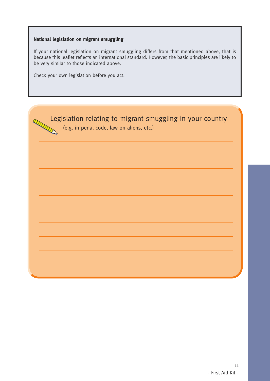### **National legislation on migrant smuggling**

If your national legislation on migrant smuggling differs from that mentioned above, that is because this leaflet reflects an international standard. However, the basic principles are likely to be very similar to those indicated above.

Check your own legislation before you act.



Legislation relating to migrant smuggling in your country Europa (e.g. in penal code, law on aliens, etc.)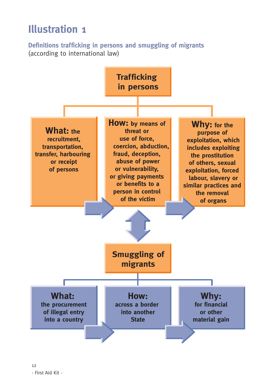# **Illustration 1**

**Definitions trafficking in persons and smuggling of migrants** (according to international law)

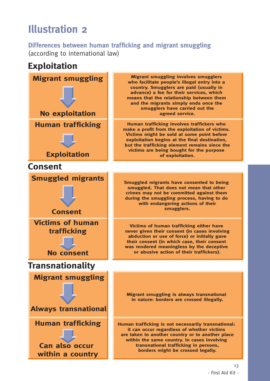# **Illustration 2**

**Differences between human trafficking and migrant smuggling** (according to international law)

# **Exploitation**

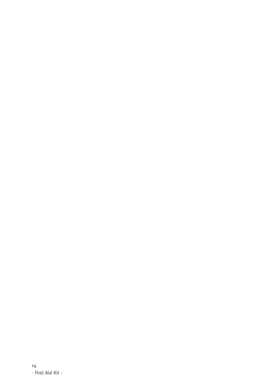#### 14 - First Aid Kit -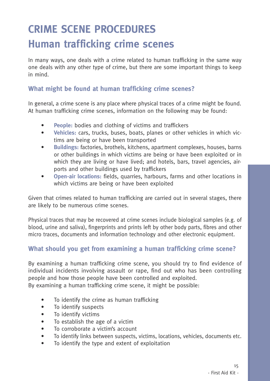# **CRIME SCENE PROCEDURES Human trafficking crime scenes**

In many ways, one deals with a crime related to human trafficking in the same way one deals with any other type of crime, but there are some important things to keep in mind.

### **What might be found at human trafficking crime scenes?**

In general, a crime scene is any place where physical traces of a crime might be found. At human trafficking crime scenes, information on the following may be found:

- **People:** bodies and clothing of victims and traffickers
- **Vehicles:** cars, trucks, buses, boats, planes or other vehicles in which victims are being or have been transported
- **Buildings:** factories, brothels, kitchens, apartment complexes, houses, barns or other buildings in which victims are being or have been exploited or in which they are living or have lived; and hotels, bars, travel agencies, airports and other buildings used by traffickers
- **Open-air locations:** fields, quarries, harbours, farms and other locations in which victims are being or have been exploited

Given that crimes related to human trafficking are carried out in several stages, there are likely to be numerous crime scenes.

Physical traces that may be recovered at crime scenes include biological samples (e.g. of blood, urine and saliva), fingerprints and prints left by other body parts, fibres and other micro traces, documents and information technology and other electronic equipment.

### **What should you get from examining a human trafficking crime scene?**

By examining a human trafficking crime scene, you should try to find evidence of individual incidents involving assault or rape, find out who has been controlling people and how those people have been controlled and exploited.

By examining a human trafficking crime scene, it might be possible:

- To identify the crime as human trafficking
- To identify suspects
- To identify victims
- To establish the age of a victim
- To corroborate a victim's account
- To identify links between suspects, victims, locations, vehicles, documents etc.
- To identify the type and extent of exploitation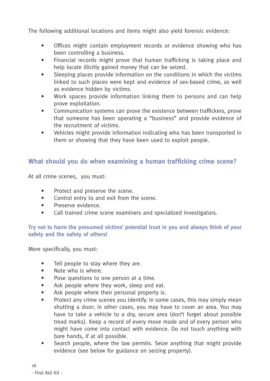The following additional locations and items might also yield forensic evidence:

- Offices might contain employment records or evidence showing who has been controlling a business.
- Financial records might prove that human trafficking is taking place and help locate illicitly gained money that can be seized.
- Sleeping places provide information on the conditions in which the victims linked to such places were kept and evidence of sex-based crime, as well as evidence hidden by victims.
- Work spaces provide information linking them to persons and can help prove exploitation.
- Communication systems can prove the existence between traffickers, prove that someone has been operating a "business" and provide evidence of the recruitment of victims.
- Vehicles might provide information indicating who has been transported in them or showing that they have been used to exploit people.

### **What should you do when examining a human trafficking crime scene?**

At all crime scenes, you must:

- Protect and preserve the scene.
- Control entry to and exit from the scene.
- Preserve evidence.
- Call trained crime scene examiners and specialized investigators.

**Try not to harm the presumed victims' potential trust in you and always think of your safety and the safety of others!**

More specifically, you must:

- Tell people to stay where they are.
- Note who is where.
- Pose questions to one person at a time.
- Ask people where they work, sleep and eat.
- Ask people where their personal property is.
- Protect any crime scenes you identify. In some cases, this may simply mean shutting a door; in other cases, you may have to cover an area. You may have to take a vehicle to a dry, secure area (don't forget about possible tread marks). Keep a record of every move made and of every person who might have come into contact with evidence. Do not touch anything with bare hands, if at all possible.
- Search people, where the law permits. Seize anything that might provide evidence (see below for guidance on seizing property).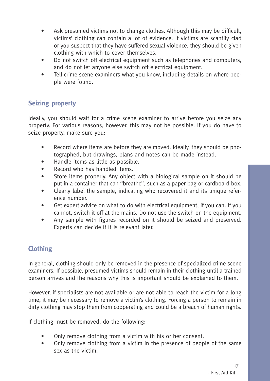- Ask presumed victims not to change clothes. Although this may be difficult, victims' clothing can contain a lot of evidence. If victims are scantily clad or you suspect that they have suffered sexual violence, they should be given clothing with which to cover themselves.
- Do not switch off electrical equipment such as telephones and computers, and do not let anyone else switch off electrical equipment.
- Tell crime scene examiners what you know, including details on where people were found.

### **Seizing property**

Ideally, you should wait for a crime scene examiner to arrive before you seize any property. For various reasons, however, this may not be possible. If you do have to seize property, make sure you:

- Record where items are before they are moved. Ideally, they should be photographed, but drawings, plans and notes can be made instead.
- Handle items as little as possible.
- Record who has handled items.
- Store items properly. Any object with a biological sample on it should be put in a container that can "breathe", such as a paper bag or cardboard box.
- Clearly label the sample, indicating who recovered it and its unique reference number.
- Get expert advice on what to do with electrical equipment, if you can. If you cannot, switch it off at the mains. Do not use the switch on the equipment.
- Any sample with figures recorded on it should be seized and preserved. Experts can decide if it is relevant later.

# **Clothing**

In general, clothing should only be removed in the presence of specialized crime scene examiners. If possible, presumed victims should remain in their clothing until a trained person arrives and the reasons why this is important should be explained to them.

However, if specialists are not available or are not able to reach the victim for a long time, it may be necessary to remove a victim's clothing. Forcing a person to remain in dirty clothing may stop them from cooperating and could be a breach of human rights.

If clothing must be removed, do the following:

- Only remove clothing from a victim with his or her consent.
- Only remove clothing from a victim in the presence of people of the same sex as the victim.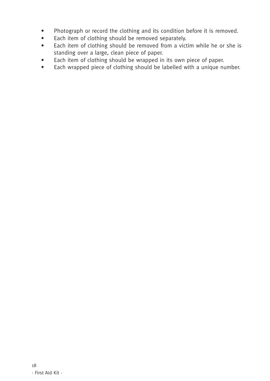- Photograph or record the clothing and its condition before it is removed.
- Each item of clothing should be removed separately.
- Each item of clothing should be removed from a victim while he or she is standing over a large, clean piece of paper.
- Each item of clothing should be wrapped in its own piece of paper.
- Each wrapped piece of clothing should be labelled with a unique number.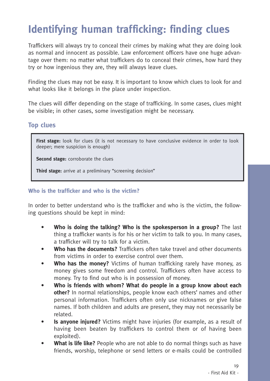# **Identifying human trafficking: finding clues**

Traffickers will always try to conceal their crimes by making what they are doing look as normal and innocent as possible. Law enforcement officers have one huge advantage over them: no matter what traffickers do to conceal their crimes, how hard they try or how ingenious they are, they will always leave clues.

Finding the clues may not be easy. It is important to know which clues to look for and what looks like it belongs in the place under inspection.

The clues will differ depending on the stage of trafficking. In some cases, clues might be visible; in other cases, some investigation might be necessary.

### **Top clues**

**First stage:** look for clues (it is not necessary to have conclusive evidence in order to look deeper; mere suspicion is enough)

**Second stage:** corroborate the clues

**Third stage:** arrive at a preliminary "screening decision"

#### **Who is the trafficker and who is the victim?**

In order to better understand who is the trafficker and who is the victim, the following questions should be kept in mind:

- **• Who is doing the talking? Who is the spokesperson in a group?** The last thing a trafficker wants is for his or her victim to talk to you. In many cases, a trafficker will try to talk for a victim.
- **• Who has the documents?** Traffickers often take travel and other documents from victims in order to exercise control over them.
- **• Who has the money?** Victims of human trafficking rarely have money, as money gives some freedom and control. Traffickers often have access to money. Try to find out who is in possession of money.
- **• Who is friends with whom? What do people in a group know about each other?** In normal relationships, people know each others' names and other personal information. Traffickers often only use nicknames or give false names. If both children and adults are present, they may not necessarily be related.
- **• Is anyone injured?** Victims might have injuries (for example, as a result of having been beaten by traffickers to control them or of having been exploited).
- **• What is life like?** People who are not able to do normal things such as have friends, worship, telephone or send letters or e-mails could be controlled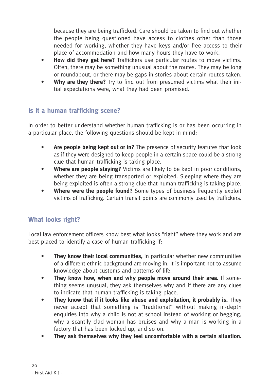because they are being trafficked. Care should be taken to find out whether the people being questioned have access to clothes other than those needed for working, whether they have keys and/or free access to their place of accommodation and how many hours they have to work.

- **• How did they get here?** Traffickers use particular routes to move victims. Often, there may be something unusual about the routes. They may be long or roundabout, or there may be gaps in stories about certain routes taken.
- **• Why are they there?** Try to find out from presumed victims what their initial expectations were, what they had been promised.

### **Is it a human trafficking scene?**

In order to better understand whether human trafficking is or has been occurring in a particular place, the following questions should be kept in mind:

- **• Are people being kept out or in?** The presence of security features that look as if they were designed to keep people in a certain space could be a strong clue that human trafficking is taking place.
- **• Where are people staying?** Victims are likely to be kept in poor conditions, whether they are being transported or exploited. Sleeping where they are being exploited is often a strong clue that human trafficking is taking place.
- **• Where were the people found?** Some types of business frequently exploit victims of trafficking. Certain transit points are commonly used by traffickers.

### **What looks right?**

Local law enforcement officers know best what looks "right" where they work and are best placed to identify a case of human trafficking if:

- **• They know their local communities,** in particular whether new communities of a different ethnic background are moving in. It is important not to assume knowledge about customs and patterns of life.
- **• They know how, when and why people move around their area.** If something seems unusual, they ask themselves why and if there are any clues to indicate that human trafficking is taking place.
- **• They know that if it looks like abuse and exploitation, it probably is.** They never accept that something is "traditional" without making in-depth enquiries into why a child is not at school instead of working or begging, why a scantily clad woman has bruises and why a man is working in a factory that has been locked up, and so on.
- **• They ask themselves why they feel uncomfortable with a certain situation.**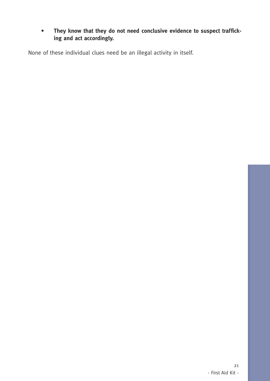### **• They know that they do not need conclusive evidence to suspect trafficking and act accordingly.**

None of these individual clues need be an illegal activity in itself.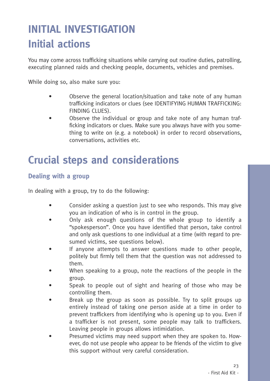# **INITIAL INVESTIGATION Initial actions**

You may come across trafficking situations while carrying out routine duties, patrolling, executing planned raids and checking people, documents, vehicles and premises.

While doing so, also make sure you:

- Observe the general location/situation and take note of any human trafficking indicators or clues (see IDENTIFYING HUMAN TRAFFICKING: FINDING CLUES).
- Observe the individual or group and take note of any human trafficking indicators or clues. Make sure you always have with you something to write on (e.g. a notebook) in order to record observations, conversations, activities etc.

# **Crucial steps and considerations**

### **Dealing with a group**

In dealing with a group, try to do the following:

- Consider asking a question just to see who responds. This may give you an indication of who is in control in the group.
- Only ask enough questions of the whole group to identify a "spokesperson". Once you have identified that person, take control and only ask questions to one individual at a time (with regard to presumed victims, see questions below).
- If anyone attempts to answer questions made to other people, politely but firmly tell them that the question was not addressed to them.
- When speaking to a group, note the reactions of the people in the group.
- Speak to people out of sight and hearing of those who may be controlling them.
- Break up the group as soon as possible. Try to split groups up entirely instead of taking one person aside at a time in order to prevent traffickers from identifying who is opening up to you. Even if a trafficker is not present, some people may talk to traffickers. Leaving people in groups allows intimidation.
- Presumed victims may need support when they are spoken to. However, do not use people who appear to be friends of the victim to give this support without very careful consideration.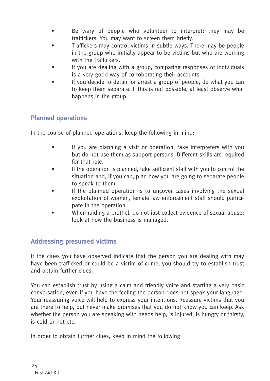- Be wary of people who volunteer to interpret: they may be traffickers. You may want to screen them briefly.
- Traffickers may control victims in subtle ways. There may be people in the group who initially appear to be victims but who are working with the traffickers.
- If you are dealing with a group, comparing responses of individuals is a very good way of corroborating their accounts.
- If you decide to detain or arrest a group of people, do what you can to keep them separate. If this is not possible, at least observe what happens in the group.

### **Planned operations**

In the course of planned operations, keep the following in mind:

- If you are planning a visit or operation, take interpreters with you but do not use them as support persons. Different skills are required for that role.
- If the operation is planned, take sufficient staff with you to control the situation and, if you can, plan how you are going to separate people to speak to them.
- If the planned operation is to uncover cases involving the sexual exploitation of women, female law enforcement staff should participate in the operation.
- When raiding a brothel, do not just collect evidence of sexual abuse: look at how the business is managed.

### **Addressing presumed victims**

If the clues you have observed indicate that the person you are dealing with may have been trafficked or could be a victim of crime, you should try to establish trust and obtain further clues.

You can establish trust by using a calm and friendly voice and starting a very basic conversation, even if you have the feeling the person does not speak your language. Your reassuring voice will help to express your intentions. Reassure victims that you are there to help, but never make promises that you do not know you can keep. Ask whether the person you are speaking with needs help, is injured, is hungry or thirsty, is cold or hot etc.

In order to obtain further clues, keep in mind the following: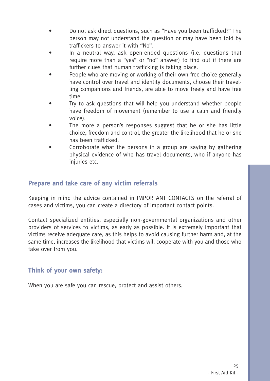- Do not ask direct questions, such as "Have you been trafficked?" The person may not understand the question or may have been told by traffickers to answer it with "No".
- In a neutral way, ask open-ended questions (i.e. questions that require more than a "yes" or "no" answer) to find out if there are further clues that human trafficking is taking place.
- People who are moving or working of their own free choice generally have control over travel and identity documents, choose their travelling companions and friends, are able to move freely and have free time.
- Try to ask questions that will help you understand whether people have freedom of movement (remember to use a calm and friendly voice).
- The more a person's responses suggest that he or she has little choice, freedom and control, the greater the likelihood that he or she has been trafficked.
- Corroborate what the persons in a group are saying by gathering physical evidence of who has travel documents, who if anyone has iniuries etc.

### **Prepare and take care of any victim referrals**

Keeping in mind the advice contained in IMPORTANT CONTACTS on the referral of cases and victims, you can create a directory of important contact points.

Contact specialized entities, especially non-governmental organizations and other providers of services to victims, as early as possible. It is extremely important that victims receive adequate care, as this helps to avoid causing further harm and, at the same time, increases the likelihood that victims will cooperate with you and those who take over from you.

### **Think of your own safety:**

When you are safe you can rescue, protect and assist others.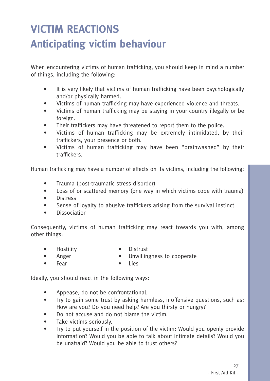# **VICTIM REACTIONS Anticipating victim behaviour**

When encountering victims of human trafficking, you should keep in mind a number of things, including the following:

- It is very likely that victims of human trafficking have been psychologically and/or physically harmed.
- Victims of human trafficking may have experienced violence and threats.
- Victims of human trafficking may be staying in your country illegally or be foreign.
- Their traffickers may have threatened to report them to the police.
- Victims of human trafficking may be extremely intimidated, by their traffickers, your presence or both.
- Victims of human trafficking may have been "brainwashed" by their traffickers.

Human trafficking may have a number of effects on its victims, including the following:

- Trauma (post-traumatic stress disorder)
- Loss of or scattered memory (one way in which victims cope with trauma)
- Distress
- Sense of loyalty to abusive traffickers arising from the survival instinct
- Dissociation

Consequently, victims of human trafficking may react towards you with, among other things:

- Hostility Distrust
	-
- Anger Unwillingness to cooperate
- 
- Fear Lies
	-

Ideally, you should react in the following ways:

- Appease, do not be confrontational.
- Try to gain some trust by asking harmless, inoffensive questions, such as: How are you? Do you need help? Are you thirsty or hungry?
- Do not accuse and do not blame the victim.
- Take victims seriously.
- Try to put yourself in the position of the victim: Would you openly provide information? Would you be able to talk about intimate details? Would you be unafraid? Would you be able to trust others?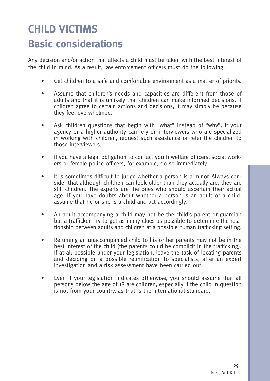# **CHILD VICTIMS Basic considerations**

Any decision and/or action that affects a child must be taken with the best interest of the child in mind. As a result, law enforcement officers must do the following:

- Get children to a safe and comfortable environment as a matter of priority.
- Assume that children's needs and capacities are different from those of adults and that it is unlikely that children can make informed decisions. If children agree to certain actions and decisions, it may simply be because they feel overwhelmed.
- Ask children questions that begin with "what" instead of "why". If your agency or a higher authority can rely on interviewers who are specialized in working with children, request such assistance or refer the children to those interviewers.
- If you have a legal obligation to contact youth welfare officers, social workers or female police officers, for example, do so immediately.
- It is sometimes difficult to judge whether a person is a minor. Always consider that although children can look older than they actually are, they are still children. The experts are the ones who should ascertain their actual age. If you have doubts about whether a person is an adult or a child, assume that he or she is a child and act accordingly.
- An adult accompanying a child may not be the child's parent or guardian but a trafficker. Try to get as many clues as possible to determine the relationship between adults and children at a possible human trafficking setting.
- Returning an unaccompanied child to his or her parents may not be in the best interest of the child (the parents could be complicit in the trafficking). If at all possible under your legislation, leave the task of locating parents and deciding on a possible reunification to specialists, after an expert investigation and a risk assessment have been carried out.
- Even if your legislation indicates otherwise, you should assume that all persons below the age of 18 are children, especially if the child in question is not from your country, as that is the international standard.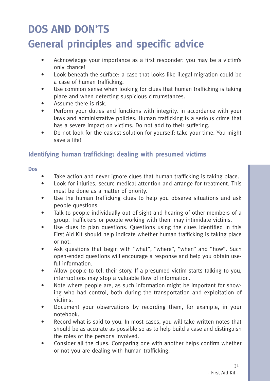# **DOS AND DON'TS General principles and specific advice**

- Acknowledge your importance as a first responder: you may be a victim's only chance!
- Look beneath the surface: a case that looks like illegal migration could be a case of human trafficking.
- Use common sense when looking for clues that human trafficking is taking place and when detecting suspicious circumstances.
- Assume there is risk.
- Perform your duties and functions with integrity, in accordance with your laws and administrative policies. Human trafficking is a serious crime that has a severe impact on victims. Do not add to their suffering.
- Do not look for the easiest solution for yourself; take your time. You might save a life!

### **Identifying human trafficking: dealing with presumed victims**

#### **Dos**

- Take action and never ignore clues that human trafficking is taking place.
- Look for injuries, secure medical attention and arrange for treatment. This must be done as a matter of priority.
- Use the human trafficking clues to help you observe situations and ask people questions.
- Talk to people individually out of sight and hearing of other members of a group. Traffickers or people working with them may intimidate victims.
- Use clues to plan questions. Questions using the clues identified in this First Aid Kit should help indicate whether human trafficking is taking place or not.
- Ask questions that begin with "what", "where", "when" and "how". Such open-ended questions will encourage a response and help you obtain useful information.
- Allow people to tell their story. If a presumed victim starts talking to you, interruptions may stop a valuable flow of information.
- Note where people are, as such information might be important for showing who had control, both during the transportation and exploitation of victims.
- Document your observations by recording them, for example, in your notebook.
- Record what is said to you. In most cases, you will take written notes that should be as accurate as possible so as to help build a case and distinguish the roles of the persons involved.
- Consider all the clues. Comparing one with another helps confirm whether or not you are dealing with human trafficking.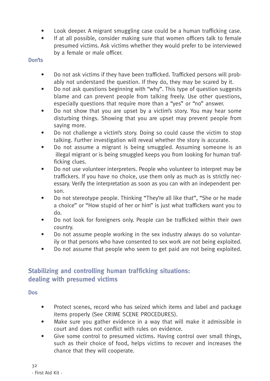- Look deeper. A migrant smuggling case could be a human trafficking case.
- If at all possible, consider making sure that women officers talk to female presumed victims. Ask victims whether they would prefer to be interviewed by a female or male officer.

#### **Don'ts**

- Do not ask victims if they have been trafficked. Trafficked persons will probably not understand the question. If they do, they may be scared by it.
- Do not ask questions beginning with "why". This type of question suggests blame and can prevent people from talking freely. Use other questions, especially questions that require more than a "yes" or "no" answer.
- Do not show that you are upset by a victim's story. You may hear some disturbing things. Showing that you are upset may prevent people from saying more.
- Do not challenge a victim's story. Doing so could cause the victim to stop talking. Further investigation will reveal whether the story is accurate.
- Do not assume a migrant is being smuggled. Assuming someone is an illegal migrant or is being smuggled keeps you from looking for human trafficking clues.
- Do not use volunteer interpreters. People who volunteer to interpret may be traffickers. If you have no choice, use them only as much as is strictly necessary. Verify the interpretation as soon as you can with an independent person.
- Do not stereotype people. Thinking "They're all like that", "She or he made a choice" or "How stupid of her or him" is just what traffickers want you to do.
- Do not look for foreigners only. People can be trafficked within their own country.
- Do not assume people working in the sex industry always do so voluntarily or that persons who have consented to sex work are not being exploited.
- Do not assume that people who seem to get paid are not being exploited.

### **Stabilizing and controlling human trafficking situations: dealing with presumed victims**

**Dos**

- Protect scenes, record who has seized which items and label and package items properly (See CRIME SCENE PROCEDURES).
- Make sure you gather evidence in a way that will make it admissible in court and does not conflict with rules on evidence.
- Give some control to presumed victims. Having control over small things, such as their choice of food, helps victims to recover and increases the chance that they will cooperate.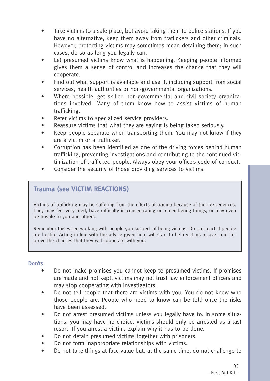- Take victims to a safe place, but avoid taking them to police stations. If you have no alternative, keep them away from traffickers and other criminals. However, protecting victims may sometimes mean detaining them; in such cases, do so as long you legally can.
- Let presumed victims know what is happening. Keeping people informed gives them a sense of control and increases the chance that they will cooperate.
- Find out what support is available and use it, including support from social services, health authorities or non-governmental organizations.
- Where possible, get skilled non-governmental and civil society organizations involved. Many of them know how to assist victims of human trafficking.
- Refer victims to specialized service providers.
- Reassure victims that what they are saying is being taken seriously.
- Keep people separate when transporting them. You may not know if they are a victim or a trafficker.
- Corruption has been identified as one of the driving forces behind human trafficking, preventing investigations and contributing to the continued victimization of trafficked people. Always obey your office's code of conduct.
- Consider the security of those providing services to victims.

### **Trauma (see VICTIM REACTIONS)**

Victims of trafficking may be suffering from the effects of trauma because of their experiences. They may feel very tired, have difficulty in concentrating or remembering things, or may even be hostile to you and others.

Remember this when working with people you suspect of being victims. Do not react if people are hostile. Acting in line with the advice given here will start to help victims recover and improve the chances that they will cooperate with you.

#### **Don'ts**

- Do not make promises you cannot keep to presumed victims. If promises are made and not kept, victims may not trust law enforcement officers and may stop cooperating with investigators.
- Do not tell people that there are victims with you. You do not know who those people are. People who need to know can be told once the risks have been assessed.
- Do not arrest presumed victims unless you legally have to. In some situations, you may have no choice. Victims should only be arrested as a last resort. If you arrest a victim, explain why it has to be done.
- Do not detain presumed victims together with prisoners.
- Do not form inappropriate relationships with victims.
- Do not take things at face value but, at the same time, do not challenge to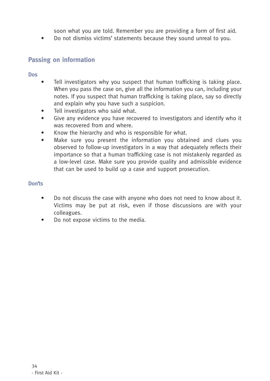soon what you are told. Remember you are providing a form of first aid.

• Do not dismiss victims' statements because they sound unreal to you.

### **Passing on information**

#### **Dos**

- Tell investigators why you suspect that human trafficking is taking place. When you pass the case on, give all the information you can, including your notes. If you suspect that human trafficking is taking place, say so directly and explain why you have such a suspicion.
- Tell investigators who said what.
- Give any evidence you have recovered to investigators and identify who it was recovered from and where.
- Know the hierarchy and who is responsible for what.
- Make sure you present the information you obtained and clues you observed to follow-up investigators in a way that adequately reflects their importance so that a human trafficking case is not mistakenly regarded as a low-level case. Make sure you provide quality and admissible evidence that can be used to build up a case and support prosecution.

#### **Don'ts**

- Do not discuss the case with anyone who does not need to know about it. Victims may be put at risk, even if those discussions are with your colleagues.
- Do not expose victims to the media.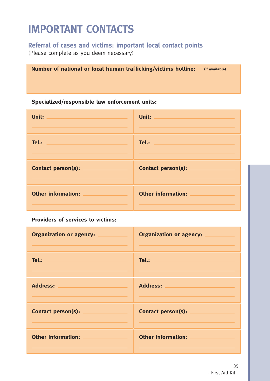# **IMPORTANT CONTACTS**

# **Referral of cases and victims: important local contact points**

(Please complete as you deem necessary)

**Number of national or local human trafficking/victims hotline: (if available)**

**Specialized/responsible law enforcement units:**

| Unit:                     | Unit:                     |
|---------------------------|---------------------------|
| Tel.:                     | Tel.:                     |
| <b>Contact person(s):</b> | Contact person(s):        |
| <b>Other information:</b> | <b>Other information:</b> |

**Providers of services to victims:**

| <b>Organization or agency:</b> | <b>Organization or agency:</b> |
|--------------------------------|--------------------------------|
| Tel.:                          | Tel.:                          |
| Address:                       | <b>Address:</b>                |
| <b>Contact person(s):</b>      | Contact person(s):             |
| <b>Other information:</b>      | <b>Other information:</b>      |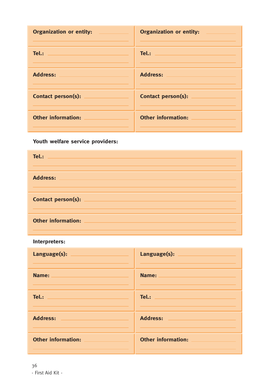| <b>Organization or entity:</b> | <b>Organization or entity:</b> |
|--------------------------------|--------------------------------|
| Tel.:                          | Tel.:                          |
| Address:                       | <b>Address:</b>                |
| Contact person(s):             | Contact person(s):             |
| <b>Other information:</b>      | <b>Other information:</b>      |

**Youth welfare service providers:**

| Tel.:                     |
|---------------------------|
| Address:                  |
| Contact person(s):        |
| <b>Other information:</b> |

| Language(s):              | Language(s):              |
|---------------------------|---------------------------|
| Name:                     | Name:                     |
| Tel.:                     | Tel.:                     |
| Address:                  | <b>Address:</b>           |
| <b>Other information:</b> | <b>Other information:</b> |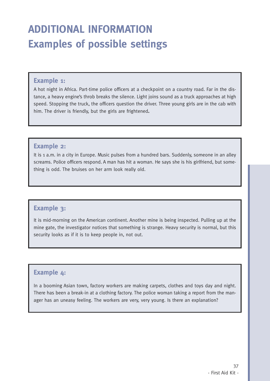# **ADDITIONAL INFORMATION Examples of possible settings**

### **Example 1:**

A hot night in Africa. Part-time police officers at a checkpoint on a country road. Far in the distance, a heavy engine's throb breaks the silence. Light joins sound as a truck approaches at high speed. Stopping the truck, the officers question the driver. Three young girls are in the cab with him. The driver is friendly, but the girls are frightened**.**

### **Example 2:**

It is 1 a.m. in a city in Europe. Music pulses from a hundred bars. Suddenly, someone in an alley screams. Police officers respond. A man has hit a woman. He says she is his girlfriend, but something is odd. The bruises on her arm look really old.

### **Example 3:**

It is mid-morning on the American continent. Another mine is being inspected. Pulling up at the mine gate, the investigator notices that something is strange. Heavy security is normal, but this security looks as if it is to keep people in, not out.

### **Example 4:**

In a booming Asian town, factory workers are making carpets, clothes and toys day and night. There has been a break-in at a clothing factory. The police woman taking a report from the manager has an uneasy feeling. The workers are very, very young. Is there an explanation?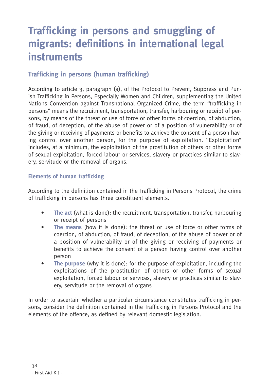# **Trafficking in persons and smuggling of migrants: definitions in international legal instruments**

### **Trafficking in persons (human trafficking)**

According to article 3, paragraph (a), of the Protocol to Prevent, Suppress and Punish Trafficking in Persons, Especially Women and Children, supplementing the United Nations Convention against Transnational Organized Crime, the term "trafficking in persons" means the recruitment, transportation, transfer, harbouring or receipt of persons, by means of the threat or use of force or other forms of coercion, of abduction, of fraud, of deception, of the abuse of power or of a position of vulnerability or of the giving or receiving of payments or benefits to achieve the consent of a person having control over another person, for the purpose of exploitation. "Exploitation" includes, at a minimum, the exploitation of the prostitution of others or other forms of sexual exploitation, forced labour or services, slavery or practices similar to slavery, servitude or the removal of organs.

#### **Elements of human trafficking**

According to the definition contained in the Trafficking in Persons Protocol, the crime of trafficking in persons has three constituent elements.

- **The act** (what is done): the recruitment, transportation, transfer, harbouring or receipt of persons
- **The means** (how it is done): the threat or use of force or other forms of coercion, of abduction, of fraud, of deception, of the abuse of power or of a position of vulnerability or of the giving or receiving of payments or benefits to achieve the consent of a person having control over another person
- **The purpose** (why it is done): for the purpose of exploitation, including the exploitations of the prostitution of others or other forms of sexual exploitation, forced labour or services, slavery or practices similar to slavery, servitude or the removal of organs

In order to ascertain whether a particular circumstance constitutes trafficking in persons, consider the definition contained in the Trafficking in Persons Protocol and the elements of the offence, as defined by relevant domestic legislation.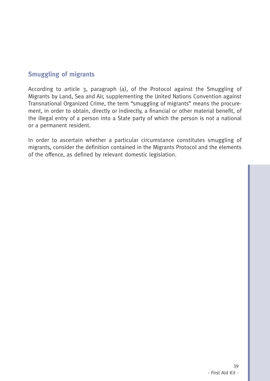### **Smuggling of migrants**

According to article 3, paragraph (a), of the Protocol against the Smuggling of Migrants by Land, Sea and Air, supplementing the United Nations Convention against Transnational Organized Crime, the term "smuggling of migrants" means the procurement, in order to obtain, directly or indirectly, a financial or other material benefit, of the illegal entry of a person into a State party of which the person is not a national or a permanent resident.

In order to ascertain whether a particular circumstance constitutes smuggling of migrants, consider the definition contained in the Migrants Protocol and the elements of the offence, as defined by relevant domestic legislation.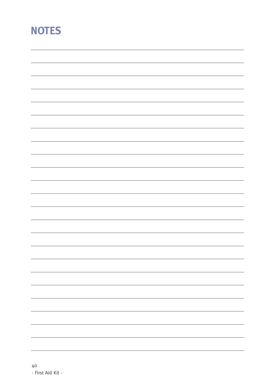# **NOTES**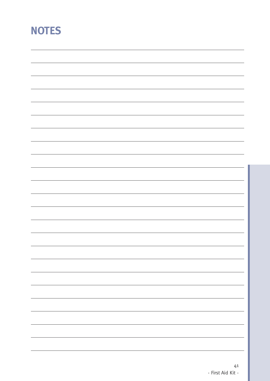# **NOTES**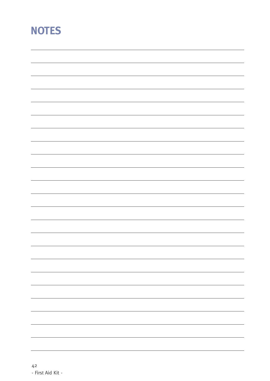# **NOTES**